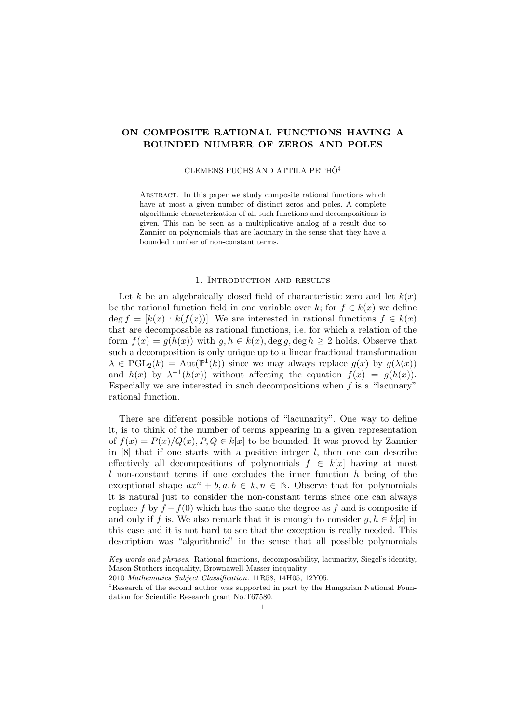# ON COMPOSITE RATIONAL FUNCTIONS HAVING A BOUNDED NUMBER OF ZEROS AND POLES

#### CLEMENS FUCHS AND ATTILA PETHŐ<sup>‡</sup>

ABSTRACT. In this paper we study composite rational functions which have at most a given number of distinct zeros and poles. A complete algorithmic characterization of all such functions and decompositions is given. This can be seen as a multiplicative analog of a result due to Zannier on polynomials that are lacunary in the sense that they have a bounded number of non-constant terms.

# 1. Introduction and results

Let k be an algebraically closed field of characteristic zero and let  $k(x)$ be the rational function field in one variable over k; for  $f \in k(x)$  we define deg  $f = [k(x) : k(f(x))]$ . We are interested in rational functions  $f \in k(x)$ that are decomposable as rational functions, i.e. for which a relation of the form  $f(x) = g(h(x))$  with  $g, h \in k(x)$ , deg  $g$ , deg  $h \ge 2$  holds. Observe that such a decomposition is only unique up to a linear fractional transformation  $\lambda \in \mathrm{PGL}_2(k) = \mathrm{Aut}(\mathbb{P}^1(k))$  since we may always replace  $g(x)$  by  $g(\lambda(x))$ and  $h(x)$  by  $\lambda^{-1}(h(x))$  without affecting the equation  $f(x) = g(h(x))$ . Especially we are interested in such decompositions when  $f$  is a "lacunary" rational function.

There are different possible notions of "lacunarity". One way to define it, is to think of the number of terms appearing in a given representation of  $f(x) = P(x)/Q(x)$ ,  $P, Q \in k[x]$  to be bounded. It was proved by Zannier in  $[8]$  that if one starts with a positive integer l, then one can describe effectively all decompositions of polynomials  $f \in k[x]$  having at most l non-constant terms if one excludes the inner function  $h$  being of the exceptional shape  $ax^n + b, a, b \in k, n \in \mathbb{N}$ . Observe that for polynomials it is natural just to consider the non-constant terms since one can always replace f by  $f - f(0)$  which has the same the degree as f and is composite if and only if f is. We also remark that it is enough to consider  $g, h \in k[x]$  in this case and it is not hard to see that the exception is really needed. This description was "algorithmic" in the sense that all possible polynomials

Key words and phrases. Rational functions, decomposability, lacunarity, Siegel's identity, Mason-Stothers inequality, Brownawell-Masser inequality

<sup>2010</sup> Mathematics Subject Classification. 11R58, 14H05, 12Y05.

<sup>‡</sup>Research of the second author was supported in part by the Hungarian National Foundation for Scientific Research grant No.T67580.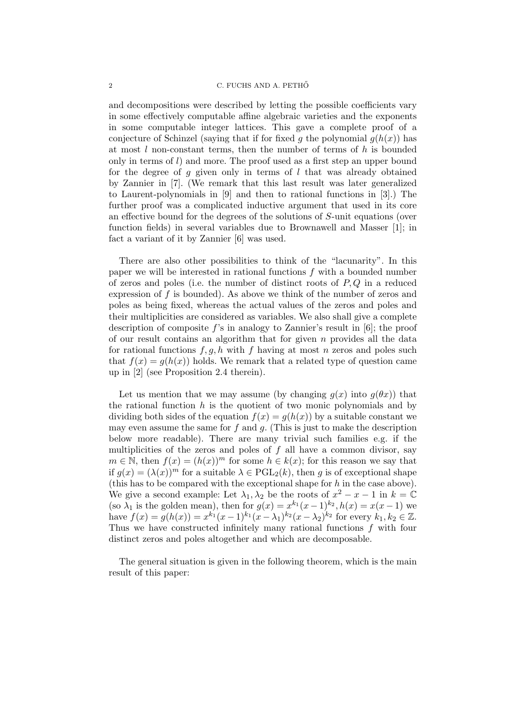and decompositions were described by letting the possible coefficients vary in some effectively computable affine algebraic varieties and the exponents in some computable integer lattices. This gave a complete proof of a conjecture of Schinzel (saying that if for fixed g the polynomial  $g(h(x))$  has at most  $l$  non-constant terms, then the number of terms of  $h$  is bounded only in terms of  $l$ ) and more. The proof used as a first step an upper bound for the degree of  $q$  given only in terms of  $l$  that was already obtained by Zannier in [7]. (We remark that this last result was later generalized to Laurent-polynomials in [9] and then to rational functions in [3].) The further proof was a complicated inductive argument that used in its core an effective bound for the degrees of the solutions of S-unit equations (over function fields) in several variables due to Brownawell and Masser [1]; in fact a variant of it by Zannier [6] was used.

There are also other possibilities to think of the "lacunarity". In this paper we will be interested in rational functions f with a bounded number of zeros and poles (i.e. the number of distinct roots of  $P,Q$  in a reduced expression of  $f$  is bounded). As above we think of the number of zeros and poles as being fixed, whereas the actual values of the zeros and poles and their multiplicities are considered as variables. We also shall give a complete description of composite f's in analogy to Zannier's result in  $[6]$ ; the proof of our result contains an algorithm that for given  $n$  provides all the data for rational functions  $f, g, h$  with f having at most n zeros and poles such that  $f(x) = g(h(x))$  holds. We remark that a related type of question came up in [2] (see Proposition 2.4 therein).

Let us mention that we may assume (by changing  $q(x)$  into  $q(\theta x)$ ) that the rational function  $h$  is the quotient of two monic polynomials and by dividing both sides of the equation  $f(x) = g(h(x))$  by a suitable constant we may even assume the same for f and  $q$ . (This is just to make the description below more readable). There are many trivial such families e.g. if the multiplicities of the zeros and poles of  $f$  all have a common divisor, say  $m \in \mathbb{N}$ , then  $f(x) = (h(x))^m$  for some  $h \in k(x)$ ; for this reason we say that if  $g(x) = (\lambda(x))^m$  for a suitable  $\lambda \in \text{PGL}_2(k)$ , then g is of exceptional shape (this has to be compared with the exceptional shape for  $h$  in the case above). We give a second example: Let  $\lambda_1, \lambda_2$  be the roots of  $x^2 - x - 1$  in  $k = \mathbb{C}$ (so  $\lambda_1$  is the golden mean), then for  $g(x) = x^{k_1}(x-1)^{k_2}$ ,  $h(x) = x(x-1)$  we have  $f(x) = g(h(x)) = x^{k_1}(x-1)^{k_1}(x-\lambda_1)^{k_2}(x-\lambda_2)^{k_2}$  for every  $k_1, k_2 \in \mathbb{Z}$ . Thus we have constructed infinitely many rational functions f with four distinct zeros and poles altogether and which are decomposable.

The general situation is given in the following theorem, which is the main result of this paper: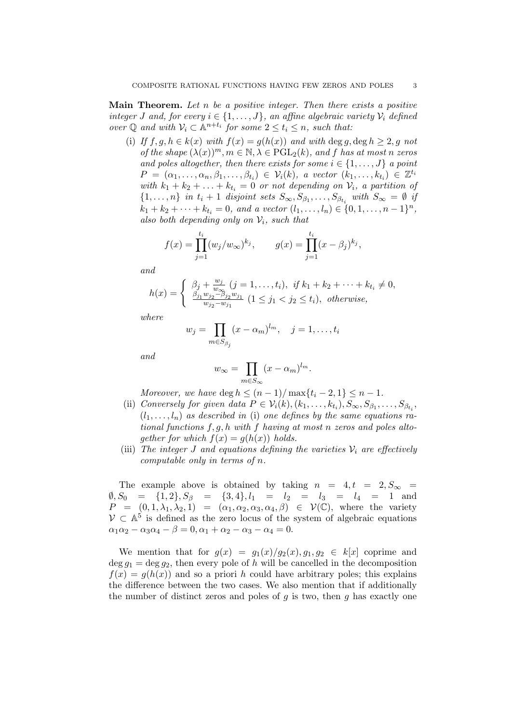**Main Theorem.** Let n be a positive integer. Then there exists a positive integer J and, for every  $i \in \{1, \ldots, J\}$ , an affine algebraic variety  $\mathcal{V}_i$  defined over  $\mathbb Q$  and with  $\mathcal V_i \subset \mathbb A^{n+t_i}$  for some  $2 \le t_i \le n$ , such that:

(i) If  $f, g, h \in k(x)$  with  $f(x) = g(h(x))$  and with deg q, deg  $h \ge 2$ , q not of the shape  $(\lambda(x))^m$ ,  $m \in \mathbb{N}, \lambda \in \mathrm{PGL}_2(k)$ , and f has at most n zeros and poles altogether, then there exists for some  $i \in \{1, \ldots, J\}$  a point  $P = (\alpha_1, \ldots, \alpha_n, \beta_1, \ldots, \beta_{t_i}) \in \mathcal{V}_i(k)$ , a vector  $(k_1, \ldots, k_{t_i}) \in \mathbb{Z}^{t_i}$ with  $k_1 + k_2 + \ldots + k_{t_i} = 0$  or not depending on  $\mathcal{V}_i$ , a partition of  $\{1,\ldots,n\}$  in  $t_i+1$  disjoint sets  $S_{\infty},S_{\beta_1},\ldots,S_{\beta_{t_i}}$  with  $S_{\infty}=\emptyset$  if  $k_1 + k_2 + \cdots + k_{t_i} = 0$ , and a vector  $(l_1, \ldots, l_n) \in \{0, 1, \ldots, n-1\}^n$ , also both depending only on  $\mathcal{V}_i$ , such that

$$
f(x) = \prod_{j=1}^{t_i} (w_j/w_{\infty})^{k_j}, \qquad g(x) = \prod_{j=1}^{t_i} (x - \beta_j)^{k_j},
$$

and

$$
h(x) = \begin{cases} \beta_j + \frac{w_j}{w_{\infty}} (j = 1, ..., t_i), & \text{if } k_1 + k_2 + \dots + k_{t_i} \neq 0, \\ \frac{\beta_{j_1} w_{j_2} - \beta_{j_2} w_{j_1}}{w_{j_2} - w_{j_1}} (1 \leq j_1 < j_2 \leq t_i), & \text{otherwise,} \end{cases}
$$

where

$$
w_j = \prod_{m \in S_{\beta_j}} (x - \alpha_m)^{l_m}, \quad j = 1, \dots, t_i
$$

and

$$
w_{\infty} = \prod_{m \in S_{\infty}} (x - \alpha_m)^{l_m}.
$$

Moreover, we have deg  $h \leq (n-1)/\max\{t_i-2, 1\} \leq n-1$ .

- (ii) Conversely for given data  $P \in \mathcal{V}_i(k), (k_1, \ldots, k_{t_i}), S_\infty, S_{\beta_1}, \ldots, S_{\beta_{t_i}},$  $(l_1, \ldots, l_n)$  as described in (i) one defines by the same equations rational functions f, g, h with f having at most n zeros and poles altogether for which  $f(x) = g(h(x))$  holds.
- (iii) The integer J and equations defining the varieties  $V_i$  are effectively computable only in terms of n.

The example above is obtained by taking  $n = 4, t = 2, S_{\infty}$  $\emptyset, S_0 = \{1, 2\}, S_\beta = \{3, 4\}, l_1 = l_2 = l_3 = l_4 = 1$  and  $P = (0, 1, \lambda_1, \lambda_2, 1) = (\alpha_1, \alpha_2, \alpha_3, \alpha_4, \beta) \in \mathcal{V}(\mathbb{C}),$  where the variety  $V \subset \mathbb{A}^5$  is defined as the zero locus of the system of algebraic equations  $\alpha_1 \alpha_2 - \alpha_3 \alpha_4 - \beta = 0, \alpha_1 + \alpha_2 - \alpha_3 - \alpha_4 = 0.$ 

We mention that for  $g(x) = g_1(x)/g_2(x), g_1, g_2 \in k[x]$  coprime and  $\deg q_1 = \deg q_2$ , then every pole of h will be cancelled in the decomposition  $f(x) = g(h(x))$  and so a priori h could have arbitrary poles; this explains the difference between the two cases. We also mention that if additionally the number of distinct zeros and poles of  $q$  is two, then  $q$  has exactly one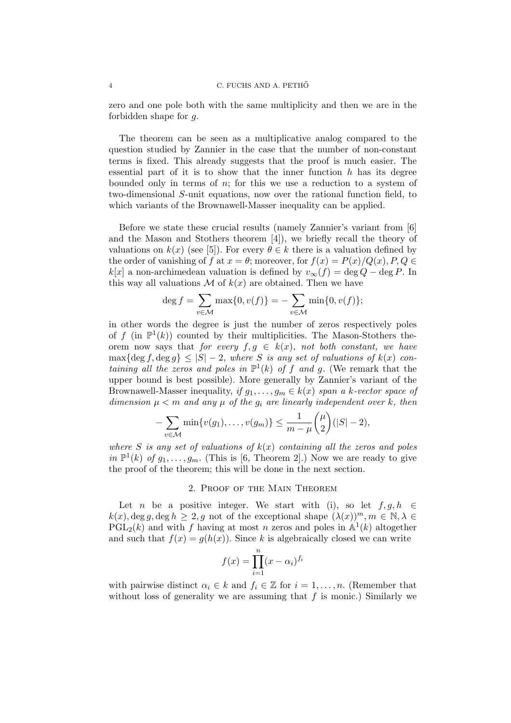zero and one pole both with the same multiplicity and then we are in the forbidden shape for g.

The theorem can be seen as a multiplicative analog compared to the question studied by Zannier in the case that the number of non-constant terms is fixed. This already suggests that the proof is much easier. The essential part of it is to show that the inner function  $h$  has its degree bounded only in terms of  $n$ ; for this we use a reduction to a system of two-dimensional S-unit equations, now over the rational function field, to which variants of the Brownawell-Masser inequality can be applied.

Before we state these crucial results (namely Zannier's variant from [6] and the Mason and Stothers theorem [4]), we briefly recall the theory of valuations on  $k(x)$  (see [5]). For every  $\theta \in k$  there is a valuation defined by the order of vanishing of f at  $x = \theta$ ; moreover, for  $f(x) = P(x)/Q(x)$ ,  $P, Q \in$  $k[x]$  a non-archimedean valuation is defined by  $v_{\infty}(f) = \deg Q - \deg P$ . In this way all valuations  $\mathcal M$  of  $k(x)$  are obtained. Then we have

$$
\deg f = \sum_{v \in \mathcal{M}} \max\{0, v(f)\} = -\sum_{v \in \mathcal{M}} \min\{0, v(f)\};
$$

in other words the degree is just the number of zeros respectively poles of f (in  $\mathbb{P}^1(k)$ ) counted by their multiplicities. The Mason-Stothers theorem now says that for every  $f, g \in k(x)$ , not both constant, we have  $\max\{\deg f, \deg g\} \leq |S| - 2$ , where S is any set of valuations of  $k(x)$  containing all the zeros and poles in  $\mathbb{P}^1(k)$  of f and g. (We remark that the upper bound is best possible). More generally by Zannier's variant of the Brownawell-Masser inequality, if  $g_1, \ldots, g_m \in k(x)$  span a k-vector space of dimension  $\mu < m$  and any  $\mu$  of the  $g_i$  are linearly independent over k, then

$$
-\sum_{v\in\mathcal{M}}\min\{v(g_1),\ldots,v(g_m)\}\leq \frac{1}{m-\mu}\binom{\mu}{2}(|S|-2),
$$

where S is any set of valuations of  $k(x)$  containing all the zeros and poles in  $\mathbb{P}^1(k)$  of  $g_1, \ldots, g_m$ . (This is [6, Theorem 2].) Now we are ready to give the proof of the theorem; this will be done in the next section.

## 2. Proof of the Main Theorem

Let n be a positive integer. We start with (i), so let  $f, g, h \in$  $k(x), \deg g, \deg h \geq 2$ , g not of the exceptional shape  $(\lambda(x))^m, m \in \mathbb{N}, \lambda \in$  $\overline{PGL}_2(k)$  and with f having at most n zeros and poles in  $\mathbb{A}^1(k)$  altogether and such that  $f(x) = g(h(x))$ . Since k is algebraically closed we can write

$$
f(x) = \prod_{i=1}^{n} (x - \alpha_i)^{f_i}
$$

with pairwise distinct  $\alpha_i \in k$  and  $f_i \in \mathbb{Z}$  for  $i = 1, \ldots, n$ . (Remember that without loss of generality we are assuming that  $f$  is monic.) Similarly we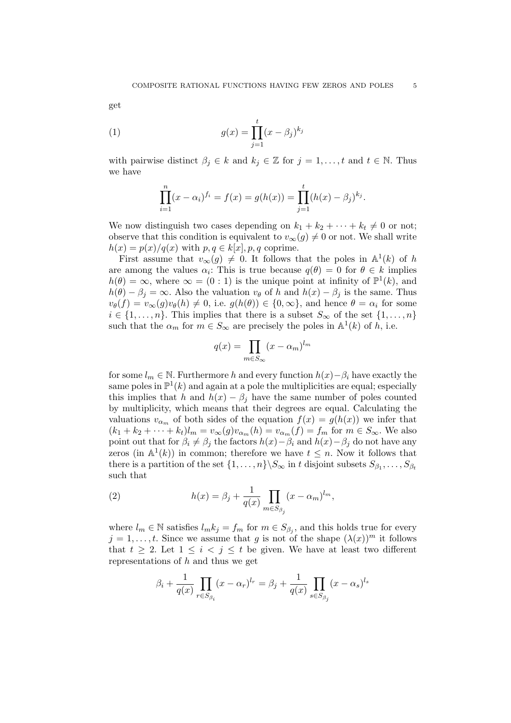get

(1) 
$$
g(x) = \prod_{j=1}^{t} (x - \beta_j)^{k_j}
$$

with pairwise distinct  $\beta_j \in k$  and  $k_j \in \mathbb{Z}$  for  $j = 1, \ldots, t$  and  $t \in \mathbb{N}$ . Thus we have

$$
\prod_{i=1}^{n} (x - \alpha_i)^{f_i} = f(x) = g(h(x)) = \prod_{j=1}^{t} (h(x) - \beta_j)^{k_j}.
$$

We now distinguish two cases depending on  $k_1 + k_2 + \cdots + k_t \neq 0$  or not; observe that this condition is equivalent to  $v_{\infty}(g) \neq 0$  or not. We shall write  $h(x) = p(x)/q(x)$  with  $p, q \in k[x], p, q$  coprime.

First assume that  $v_{\infty}(g) \neq 0$ . It follows that the poles in  $\mathbb{A}^{1}(k)$  of h are among the values  $\alpha_i$ : This is true because  $q(\theta) = 0$  for  $\theta \in k$  implies  $h(\theta) = \infty$ , where  $\infty = (0:1)$  is the unique point at infinity of  $\mathbb{P}^1(k)$ , and  $h(\theta) - \beta_i = \infty$ . Also the valuation  $v_{\theta}$  of h and  $h(x) - \beta_i$  is the same. Thus  $v_{\theta}(f) = v_{\infty}(g)v_{\theta}(h) \neq 0$ , i.e.  $g(h(\theta)) \in \{0, \infty\}$ , and hence  $\theta = \alpha_i$  for some  $i \in \{1, \ldots, n\}$ . This implies that there is a subset  $S_{\infty}$  of the set  $\{1, \ldots, n\}$ such that the  $\alpha_m$  for  $m \in S_\infty$  are precisely the poles in  $\mathbb{A}^1(k)$  of  $h$ , i.e.

$$
q(x) = \prod_{m \in S_{\infty}} (x - \alpha_m)^{l_m}
$$

for some  $l_m \in \mathbb{N}$ . Furthermore h and every function  $h(x) - \beta_i$  have exactly the same poles in  $\mathbb{P}^1(k)$  and again at a pole the multiplicities are equal; especially this implies that h and  $h(x) - \beta_i$  have the same number of poles counted by multiplicity, which means that their degrees are equal. Calculating the valuations  $v_{\alpha_m}$  of both sides of the equation  $f(x) = g(h(x))$  we infer that  $(k_1 + k_2 + \cdots + k_t)l_m = v_{\infty}(g)v_{\alpha_m}(h) = v_{\alpha_m}(f) = f_m$  for  $m \in S_{\infty}$ . We also point out that for  $\beta_i \neq \beta_j$  the factors  $h(x) - \beta_i$  and  $h(x) - \beta_j$  do not have any zeros (in  $\mathbb{A}^1(k)$ ) in common; therefore we have  $t \leq n$ . Now it follows that there is a partition of the set  $\{1, \ldots, n\} \backslash S_{\infty}$  in t disjoint subsets  $S_{\beta_1}, \ldots, S_{\beta_t}$ such that

(2) 
$$
h(x) = \beta_j + \frac{1}{q(x)} \prod_{m \in S_{\beta_j}} (x - \alpha_m)^{l_m},
$$

where  $l_m \in \mathbb{N}$  satisfies  $l_m k_j = f_m$  for  $m \in S_{\beta_j}$ , and this holds true for every  $j = 1, \ldots, t$ . Since we assume that g is not of the shape  $(\lambda(x))^m$  it follows that  $t \geq 2$ . Let  $1 \leq i \leq j \leq t$  be given. We have at least two different representations of  $h$  and thus we get

$$
\beta_i + \frac{1}{q(x)} \prod_{r \in S_{\beta_i}} (x - \alpha_r)^{l_r} = \beta_j + \frac{1}{q(x)} \prod_{s \in S_{\beta_j}} (x - \alpha_s)^{l_s}
$$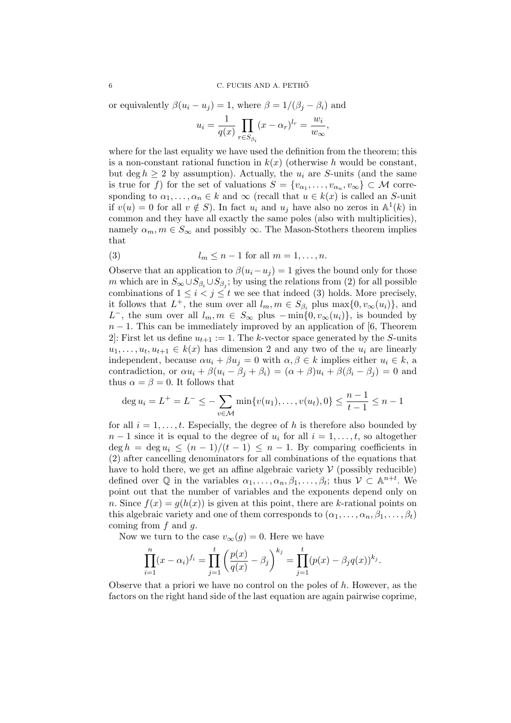or equivalently  $\beta(u_i - u_j) = 1$ , where  $\beta = 1/(\beta_i - \beta_i)$  and

$$
u_i = \frac{1}{q(x)} \prod_{r \in S_{\beta_i}} (x - \alpha_r)^{l_r} = \frac{w_i}{w_{\infty}},
$$

where for the last equality we have used the definition from the theorem; this is a non-constant rational function in  $k(x)$  (otherwise h would be constant, but deg  $h \geq 2$  by assumption). Actually, the  $u_i$  are S-units (and the same is true for f) for the set of valuations  $S = \{v_{\alpha_1}, \ldots, v_{\alpha_n}, v_{\infty}\} \subset M$  corresponding to  $\alpha_1, \ldots, \alpha_n \in k$  and  $\infty$  (recall that  $u \in k(x)$  is called an S-unit if  $v(u) = 0$  for all  $v \notin S$ ). In fact  $u_i$  and  $u_j$  have also no zeros in  $\mathbb{A}^1(k)$  in common and they have all exactly the same poles (also with multiplicities), namely  $\alpha_m, m \in S_\infty$  and possibly  $\infty$ . The Mason-Stothers theorem implies that

(3) 
$$
l_m \leq n-1 \text{ for all } m=1,\ldots,n.
$$

Observe that an application to  $\beta(u_i - u_j) = 1$  gives the bound only for those m which are in  $S_{\infty} \cup S_{\beta_i} \cup S_{\beta_j}$ ; by using the relations from (2) for all possible combinations of  $1 \leq i < j \leq t$  we see that indeed (3) holds. More precisely, it follows that  $L^+$ , the sum over all  $l_m, m \in S_{\beta_i}$  plus  $\max\{0, v_{\infty}(u_i)\}\)$ , and L<sup>-</sup>, the sum over all  $l_m, m \in S_\infty$  plus  $-\min\{0, v_\infty(u_i)\}\)$ , is bounded by  $n-1$ . This can be immediately improved by an application of [6, Theorem 2: First let us define  $u_{t+1} := 1$ . The k-vector space generated by the S-units  $u_1, \ldots, u_t, u_{t+1} \in k(x)$  has dimension 2 and any two of the  $u_i$  are linearly independent, because  $\alpha u_i + \beta u_j = 0$  with  $\alpha, \beta \in k$  implies either  $u_i \in k$ , a contradiction, or  $\alpha u_i + \beta (u_i - \beta_i + \beta_i) = (\alpha + \beta) u_i + \beta (\beta_i - \beta_i) = 0$  and thus  $\alpha = \beta = 0$ . It follows that

$$
\deg u_i = L^+ = L^- \le -\sum_{v \in \mathcal{M}} \min\{v(u_1), \dots, v(u_t), 0\} \le \frac{n-1}{t-1} \le n-1
$$

for all  $i = 1, \ldots, t$ . Especially, the degree of h is therefore also bounded by  $n-1$  since it is equal to the degree of  $u_i$  for all  $i=1,\ldots,t$ , so altogether  $\deg h = \deg u_i \leq (n-1)/(t-1) \leq n-1$ . By comparing coefficients in (2) after cancelling denominators for all combinations of the equations that have to hold there, we get an affine algebraic variety  $\mathcal V$  (possibly reducible) defined over  $\mathbb Q$  in the variables  $\alpha_1, \ldots, \alpha_n, \beta_1, \ldots, \beta_t$ ; thus  $\mathcal V \subset \mathbb A^{n+t}$ . We point out that the number of variables and the exponents depend only on n. Since  $f(x) = q(h(x))$  is given at this point, there are k-rational points on this algebraic variety and one of them corresponds to  $(\alpha_1, \ldots, \alpha_n, \beta_1, \ldots, \beta_t)$ coming from  $f$  and  $g$ .

Now we turn to the case  $v_{\infty}(g) = 0$ . Here we have

$$
\prod_{i=1}^{n} (x - \alpha_i)^{f_i} = \prod_{j=1}^{t} \left( \frac{p(x)}{q(x)} - \beta_j \right)^{k_j} = \prod_{j=1}^{t} (p(x) - \beta_j q(x))^{k_j}.
$$

Observe that a priori we have no control on the poles of h. However, as the factors on the right hand side of the last equation are again pairwise coprime,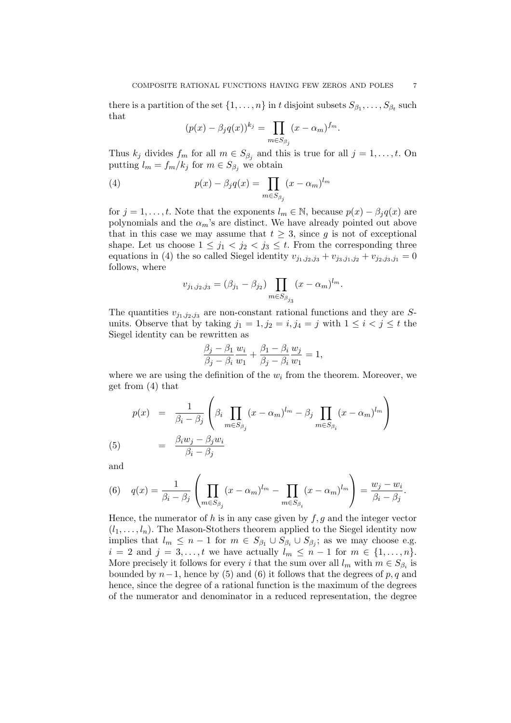there is a partition of the set  $\{1, \ldots, n\}$  in t disjoint subsets  $S_{\beta_1}, \ldots, S_{\beta_t}$  such that

$$
(p(x) - \beta_j q(x))^{k_j} = \prod_{m \in S_{\beta_j}} (x - \alpha_m)^{f_m}.
$$

Thus  $k_j$  divides  $f_m$  for all  $m \in S_{\beta_j}$  and this is true for all  $j = 1, \ldots, t$ . On putting  $l_m = f_m/k_j$  for  $m \in S_{\beta_j}$  we obtain

(4) 
$$
p(x) - \beta_j q(x) = \prod_{m \in S_{\beta_j}} (x - \alpha_m)^{l_m}
$$

for  $j = 1, \ldots, t$ . Note that the exponents  $l_m \in \mathbb{N}$ , because  $p(x) - \beta_j q(x)$  are polynomials and the  $\alpha_m$ 's are distinct. We have already pointed out above that in this case we may assume that  $t \geq 3$ , since g is not of exceptional shape. Let us choose  $1 \leq j_1 < j_2 < j_3 \leq t$ . From the corresponding three equations in (4) the so called Siegel identity  $v_{j_1,j_2,j_3} + v_{j_3,j_1,j_2} + v_{j_2,j_3,j_1} = 0$ follows, where

$$
v_{j_1, j_2, j_3} = (\beta_{j_1} - \beta_{j_2}) \prod_{m \in S_{\beta_{j_3}}} (x - \alpha_m)^{l_m}.
$$

The quantities  $v_{j_1,j_2,j_3}$  are non-constant rational functions and they are Sunits. Observe that by taking  $j_1 = 1, j_2 = i, j_4 = j$  with  $1 \leq i < j \leq t$  the Siegel identity can be rewritten as

$$
\frac{\beta_j - \beta_1}{\beta_j - \beta_i} \frac{w_i}{w_1} + \frac{\beta_1 - \beta_i}{\beta_j - \beta_i} \frac{w_j}{w_1} = 1,
$$

where we are using the definition of the  $w_i$  from the theorem. Moreover, we get from (4) that

$$
p(x) = \frac{1}{\beta_i - \beta_j} \left( \beta_i \prod_{m \in S_{\beta_j}} (x - \alpha_m)^{l_m} - \beta_j \prod_{m \in S_{\beta_i}} (x - \alpha_m)^{l_m} \right)
$$
  
= 
$$
\frac{\beta_i w_j - \beta_j w_i}{\beta_i - \beta_j}
$$

and

(5)

(6) 
$$
q(x) = \frac{1}{\beta_i - \beta_j} \left( \prod_{m \in S_{\beta_j}} (x - \alpha_m)^{l_m} - \prod_{m \in S_{\beta_i}} (x - \alpha_m)^{l_m} \right) = \frac{w_j - w_i}{\beta_i - \beta_j}.
$$

Hence, the numerator of h is in any case given by  $f, g$  and the integer vector  $(l_1, \ldots, l_n)$ . The Mason-Stothers theorem applied to the Siegel identity now implies that  $l_m \leq n-1$  for  $m \in S_{\beta_1} \cup S_{\beta_i} \cup S_{\beta_j}$ ; as we may choose e.g.  $i = 2$  and  $j = 3, \ldots, t$  we have actually  $l_m \leq n-1$  for  $m \in \{1, \ldots, n\}.$ More precisely it follows for every i that the sum over all  $l_m$  with  $m \in S_{\beta_i}$  is bounded by  $n-1$ , hence by (5) and (6) it follows that the degrees of p, q and hence, since the degree of a rational function is the maximum of the degrees of the numerator and denominator in a reduced representation, the degree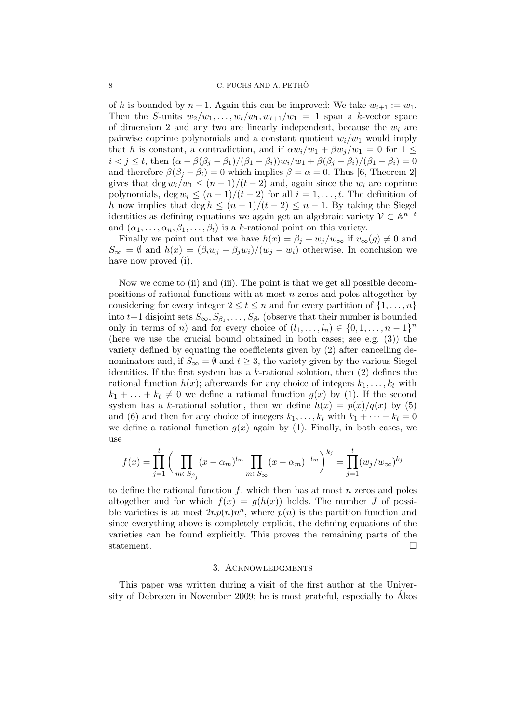of h is bounded by  $n-1$ . Again this can be improved: We take  $w_{t+1} := w_1$ . Then the S-units  $w_2/w_1, \ldots, w_t/w_1, w_{t+1}/w_1 = 1$  span a k-vector space of dimension 2 and any two are linearly independent, because the  $w_i$  are pairwise coprime polynomials and a constant quotient  $w_i/w_1$  would imply that h is constant, a contradiction, and if  $\alpha w_i/w_1 + \beta w_j/w_1 = 0$  for  $1 \leq$  $i < j \leq t$ , then  $(\alpha - \beta(\beta_j - \beta_1)/(\beta_1 - \beta_i))w_i/w_1 + \beta(\beta_j - \beta_i)/(\beta_1 - \beta_i) = 0$ and therefore  $\beta(\beta_i - \beta_i) = 0$  which implies  $\beta = \alpha = 0$ . Thus [6, Theorem 2] gives that deg  $w_i/w_1 \leq (n-1)/(t-2)$  and, again since the  $w_i$  are coprime polynomials, deg  $w_i \leq (n-1)/(t-2)$  for all  $i = 1, \ldots, t$ . The definition of h now implies that deg  $h \leq (n-1)/(t-2) \leq n-1$ . By taking the Siegel identities as defining equations we again get an algebraic variety  $\mathcal{V} \subset \mathbb{A}^{n+t}$ and  $(\alpha_1, \ldots, \alpha_n, \beta_1, \ldots, \beta_t)$  is a k-rational point on this variety.

Finally we point out that we have  $h(x) = \beta_i + w_i/w_\infty$  if  $v_\infty(g) \neq 0$  and  $S_{\infty} = \emptyset$  and  $h(x) = (\beta_i w_j - \beta_j w_i)/(w_j - w_i)$  otherwise. In conclusion we have now proved (i).

Now we come to (ii) and (iii). The point is that we get all possible decompositions of rational functions with at most n zeros and poles altogether by considering for every integer  $2 \le t \le n$  and for every partition of  $\{1, \ldots, n\}$ into  $t+1$  disjoint sets  $S_{\infty}, S_{\beta_1}, \ldots, S_{\beta_t}$  (observe that their number is bounded only in terms of n) and for every choice of  $(l_1, \ldots, l_n) \in \{0, 1, \ldots, n-1\}^n$ (here we use the crucial bound obtained in both cases; see e.g. (3)) the variety defined by equating the coefficients given by (2) after cancelling denominators and, if  $S_{\infty} = \emptyset$  and  $t \geq 3$ , the variety given by the various Siegel identities. If the first system has a  $k$ -rational solution, then  $(2)$  defines the rational function  $h(x)$ ; afterwards for any choice of integers  $k_1, \ldots, k_t$  with  $k_1 + \ldots + k_t \neq 0$  we define a rational function  $g(x)$  by (1). If the second system has a k-rational solution, then we define  $h(x) = p(x)/q(x)$  by (5) and (6) and then for any choice of integers  $k_1, \ldots, k_t$  with  $k_1 + \cdots + k_t = 0$ we define a rational function  $g(x)$  again by (1). Finally, in both cases, we use

$$
f(x) = \prod_{j=1}^{t} \left( \prod_{m \in S_{\beta_j}} (x - \alpha_m)^{l_m} \prod_{m \in S_{\infty}} (x - \alpha_m)^{-l_m} \right)^{k_j} = \prod_{j=1}^{t} (w_j/w_{\infty})^{k_j}
$$

to define the rational function  $f$ , which then has at most  $n$  zeros and poles altogether and for which  $f(x) = g(h(x))$  holds. The number J of possible varieties is at most  $2np(n)n^n$ , where  $p(n)$  is the partition function and since everything above is completely explicit, the defining equations of the varieties can be found explicitly. This proves the remaining parts of the statement.  $\Box$ 

#### 3. Acknowledgments

This paper was written during a visit of the first author at the University of Debrecen in November 2009; he is most grateful, especially to Akos ´